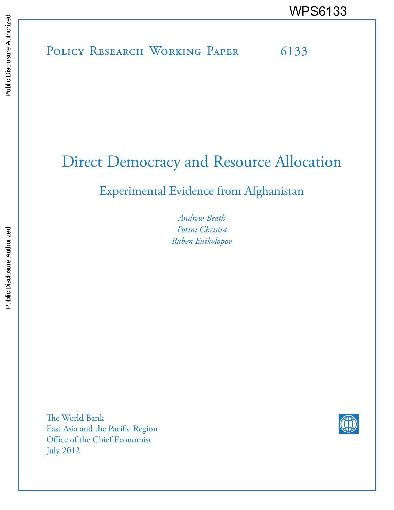# POLICY RESEARCH WORKING PAPER 6133 WPS6133

# Direct Democracy and Resource Allocation

# Experimental Evidence from Afghanistan

*Andrew Beath Fotini Christia Ruben Enikolopov*

The World Bank East Asia and the Pacific Region Office of the Chief Economist July 2012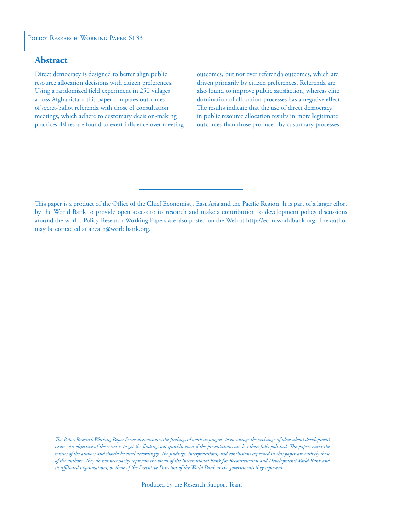#### POLICY RESEARCH WORKING PAPER 6133

# **Abstract**

Direct democracy is designed to better align public resource allocation decisions with citizen preferences. Using a randomized field experiment in 250 villages across Afghanistan, this paper compares outcomes of secret-ballot referenda with those of consultation meetings, which adhere to customary decision-making practices. Elites are found to exert influence over meeting outcomes, but not over referenda outcomes, which are driven primarily by citizen preferences. Referenda are also found to improve public satisfaction, whereas elite domination of allocation processes has a negative effect. The results indicate that the use of direct democracy in public resource allocation results in more legitimate outcomes than those produced by customary processes.

This paper is a product of the Office of the Chief Economist,, East Asia and the Pacific Region. It is part of a larger effort by the World Bank to provide open access to its research and make a contribution to development policy discussions around the world. Policy Research Working Papers are also posted on the Web at http://econ.worldbank.org. The author may be contacted at abeath@worldbank.org.

*The Policy Research Working Paper Series disseminates the findings of work in progress to encourage the exchange of ideas about development*  issues. An objective of the series is to get the findings out quickly, even if the presentations are less than fully polished. The papers carry the *names of the authors and should be cited accordingly. The findings, interpretations, and conclusions expressed in this paper are entirely those of the authors. They do not necessarily represent the views of the International Bank for Reconstruction and Development/World Bank and its affiliated organizations, or those of the Executive Directors of the World Bank or the governments they represent.*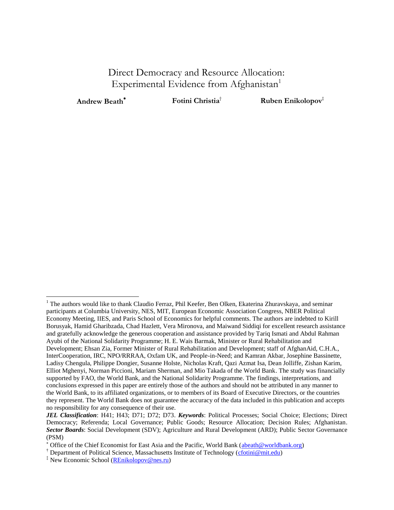# Direct Democracy and Resource Allocation: Experimental Evidence from Afghanistan<sup>1</sup>

 $\overline{a}$ 

**Andrew Beath<sup>\*</sup> <b>Fotini Christia**<sup>†</sup> **Ruben Enikolopov**<sup>‡</sup>

<sup>&</sup>lt;sup>1</sup> The authors would like to thank Claudio Ferraz, Phil Keefer, Ben Olken, Ekaterina Zhuravskaya, and seminar participants at Columbia University, NES, MIT, European Economic Association Congress, NBER Political Economy Meeting, IIES, and Paris School of Economics for helpful comments. The authors are indebted to Kirill Borusyak, Hamid Gharibzada, Chad Hazlett, Vera Mironova, and Maiwand Siddiqi for excellent research assistance and gratefully acknowledge the generous cooperation and assistance provided by Tariq Ismati and Abdul Rahman Ayubi of the National Solidarity Programme; H. E. Wais Barmak, Minister or Rural Rehabilitation and Development; Ehsan Zia, Former Minister of Rural Rehabilitation and Development; staff of AfghanAid, C.H.A., InterCooperation, IRC, NPO/RRRAA, Oxfam UK, and People-in-Need; and Kamran Akbar, Josephine Bassinette, Ladisy Chengula, Philippe Dongier, Susanne Holste, Nicholas Kraft, Qazi Azmat Isa, Dean Jolliffe, Zishan Karim, Elliot Mghenyi, Norman Piccioni, Mariam Sherman, and Mio Takada of the World Bank. The study was financially supported by FAO, the World Bank, and the National Solidarity Programme. The findings, interpretations, and conclusions expressed in this paper are entirely those of the authors and should not be attributed in any manner to the World Bank, to its affiliated organizations, or to members of its Board of Executive Directors, or the countries they represent. The World Bank does not guarantee the accuracy of the data included in this publication and accepts no responsibility for any consequence of their use.

*JEL Classification*: H41; H43; D71; D72; D73. *Keywords*: Political Processes; Social Choice; Elections; Direct Democracy; Referenda; Local Governance; Public Goods; Resource Allocation; Decision Rules; Afghanistan. *Sector Boards*: Social Development (SDV); Agriculture and Rural Development (ARD); Public Sector Governance (PSM)

<sup>\*</sup> Office of the Chief Economist for East Asia and the Pacific, World Bank [\(abeath@worldbank.org\)](mailto:abeath@worldbank.org)

<sup>&</sup>lt;sup>†</sup> Department of Political Science, Massachusetts Institute of Technology [\(cfotini@mit.edu\)](mailto:cfotini@mit.edu)

<sup>&</sup>lt;sup>‡</sup> New Economic School [\(REnikolopov@nes.ru\)](mailto:REnikolopov@nes.ru)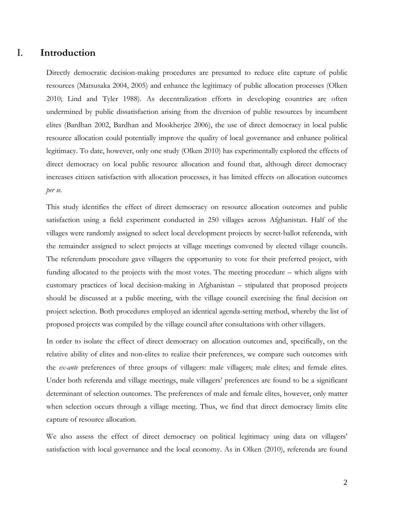# I. **Introduction**

Directly democratic decision-making procedures are presumed to reduce elite capture of public resources (Matsusaka 2004, 2005) and enhance the legitimacy of public allocation processes (Olken 2010; Lind and Tyler 1988). As decentralization efforts in developing countries are often undermined by public dissatisfaction arising from the diversion of public resources by incumbent elites (Bardhan 2002, Bardhan and Mookherjee 2006), the use of direct democracy in local public resource allocation could potentially improve the quality of local governance and enhance political legitimacy. To date, however, only one study (Olken 2010) has experimentally explored the effects of direct democracy on local public resource allocation and found that, although direct democracy increases citizen satisfaction with allocation processes, it has limited effects on allocation outcomes *per se*.

This study identifies the effect of direct democracy on resource allocation outcomes and public satisfaction using a field experiment conducted in 250 villages across Afghanistan. Half of the villages were randomly assigned to select local development projects by secret-ballot referenda, with the remainder assigned to select projects at village meetings convened by elected village councils. The referendum procedure gave villagers the opportunity to vote for their preferred project, with funding allocated to the projects with the most votes. The meeting procedure – which aligns with customary practices of local decision-making in Afghanistan – stipulated that proposed projects should be discussed at a public meeting, with the village council exercising the final decision on project selection. Both procedures employed an identical agenda-setting method, whereby the list of proposed projects was compiled by the village council after consultations with other villagers.

In order to isolate the effect of direct democracy on allocation outcomes and, specifically, on the relative ability of elites and non-elites to realize their preferences, we compare such outcomes with the *ex-ante* preferences of three groups of villagers: male villagers; male elites; and female elites. Under both referenda and village meetings, male villagers' preferences are found to be a significant determinant of selection outcomes. The preferences of male and female elites, however, only matter when selection occurs through a village meeting. Thus, we find that direct democracy limits elite capture of resource allocation.

We also assess the effect of direct democracy on political legitimacy using data on villagers' satisfaction with local governance and the local economy. As in Olken (2010), referenda are found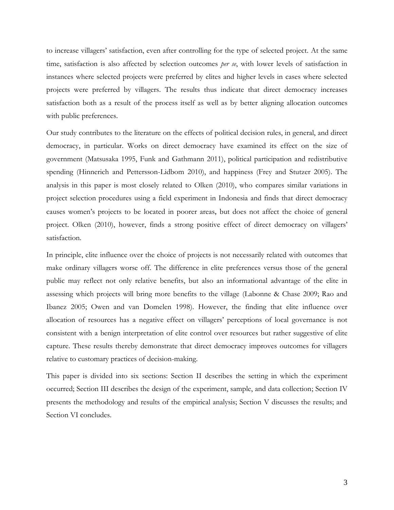to increase villagers' satisfaction, even after controlling for the type of selected project. At the same time, satisfaction is also affected by selection outcomes *per se*, with lower levels of satisfaction in instances where selected projects were preferred by elites and higher levels in cases where selected projects were preferred by villagers. The results thus indicate that direct democracy increases satisfaction both as a result of the process itself as well as by better aligning allocation outcomes with public preferences.

Our study contributes to the literature on the effects of political decision rules, in general, and direct democracy, in particular. Works on direct democracy have examined its effect on the size of government (Matsusaka 1995, Funk and Gathmann 2011), political participation and redistributive spending (Hinnerich and Pettersson-Lidbom 2010), and happiness (Frey and Stutzer 2005). The analysis in this paper is most closely related to Olken (2010), who compares similar variations in project selection procedures using a field experiment in Indonesia and finds that direct democracy causes women's projects to be located in poorer areas, but does not affect the choice of general project. Olken (2010), however, finds a strong positive effect of direct democracy on villagers' satisfaction.

In principle, elite influence over the choice of projects is not necessarily related with outcomes that make ordinary villagers worse off. The difference in elite preferences versus those of the general public may reflect not only relative benefits, but also an informational advantage of the elite in assessing which projects will bring more benefits to the village (Labonne & Chase 2009; Rao and Ibanez 2005; Owen and van Domelen 1998). However, the finding that elite influence over allocation of resources has a negative effect on villagers' perceptions of local governance is not consistent with a benign interpretation of elite control over resources but rather suggestive of elite capture. These results thereby demonstrate that direct democracy improves outcomes for villagers relative to customary practices of decision-making.

This paper is divided into six sections: Section II describes the setting in which the experiment occurred; Section III describes the design of the experiment, sample, and data collection; Section IV presents the methodology and results of the empirical analysis; Section V discusses the results; and Section VI concludes.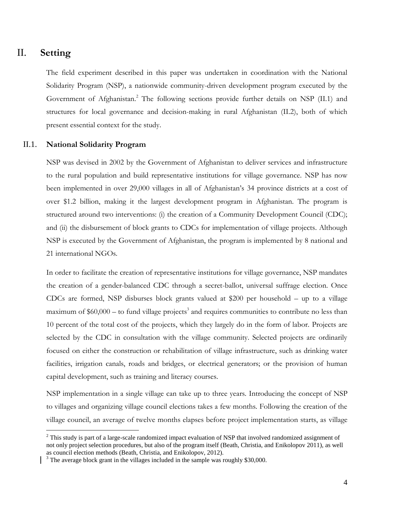# II. **Setting**

 $\overline{a}$ 

The field experiment described in this paper was undertaken in coordination with the National Solidarity Program (NSP), a nationwide community-driven development program executed by the Government of Afghanistan.<sup>2</sup> The following sections provide further details on NSP (II.1) and structures for local governance and decision-making in rural Afghanistan (II.2), both of which present essential context for the study.

#### II.1. **National Solidarity Program**

NSP was devised in 2002 by the Government of Afghanistan to deliver services and infrastructure to the rural population and build representative institutions for village governance. NSP has now been implemented in over 29,000 villages in all of Afghanistan's 34 province districts at a cost of over \$1.2 billion, making it the largest development program in Afghanistan. The program is structured around two interventions: (i) the creation of a Community Development Council (CDC); and (ii) the disbursement of block grants to CDCs for implementation of village projects. Although NSP is executed by the Government of Afghanistan, the program is implemented by 8 national and 21 international NGOs.

In order to facilitate the creation of representative institutions for village governance, NSP mandates the creation of a gender-balanced CDC through a secret-ballot, universal suffrage election. Once CDCs are formed, NSP disburses block grants valued at \$200 per household – up to a village maximum of  $$60,000 -$  to fund village projects<sup>3</sup> and requires communities to contribute no less than 10 percent of the total cost of the projects, which they largely do in the form of labor. Projects are selected by the CDC in consultation with the village community. Selected projects are ordinarily focused on either the construction or rehabilitation of village infrastructure, such as drinking water facilities, irrigation canals, roads and bridges, or electrical generators; or the provision of human capital development, such as training and literacy courses.

NSP implementation in a single village can take up to three years. Introducing the concept of NSP to villages and organizing village council elections takes a few months. Following the creation of the village council, an average of twelve months elapses before project implementation starts, as village

 $2$  This study is part of a large-scale randomized impact evaluation of NSP that involved randomized assignment of not only project selection procedures, but also of the program itself (Beath, Christia, and Enikolopov 2011), as well as council election methods (Beath, Christia, and Enikolopov, 2012).

 $3$  The average block grant in the villages included in the sample was roughly \$30,000.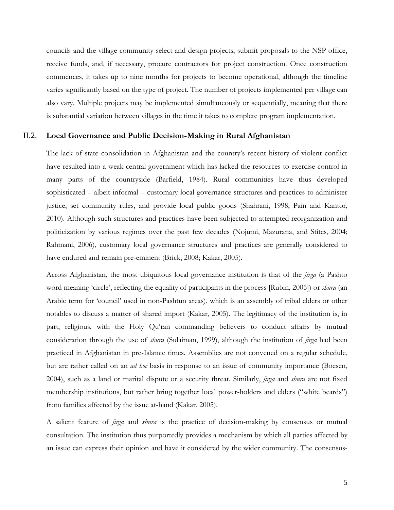councils and the village community select and design projects, submit proposals to the NSP office, receive funds, and, if necessary, procure contractors for project construction. Once construction commences, it takes up to nine months for projects to become operational, although the timeline varies significantly based on the type of project. The number of projects implemented per village can also vary. Multiple projects may be implemented simultaneously or sequentially, meaning that there is substantial variation between villages in the time it takes to complete program implementation.

#### II.2. **Local Governance and Public Decision-Making in Rural Afghanistan**

The lack of state consolidation in Afghanistan and the country's recent history of violent conflict have resulted into a weak central government which has lacked the resources to exercise control in many parts of the countryside (Barfield, 1984). Rural communities have thus developed sophisticated – albeit informal – customary local governance structures and practices to administer justice, set community rules, and provide local public goods (Shahrani, 1998; Pain and Kantor, 2010). Although such structures and practices have been subjected to attempted reorganization and politicization by various regimes over the past few decades (Nojumi, Mazurana, and Stites, 2004; Rahmani, 2006), customary local governance structures and practices are generally considered to have endured and remain pre-eminent (Brick, 2008; Kakar, 2005).

Across Afghanistan, the most ubiquitous local governance institution is that of the *jirga* (a Pashto word meaning 'circle', reflecting the equality of participants in the process [Rubin, 2005]) or *shura* (an Arabic term for 'council' used in non-Pashtun areas), which is an assembly of tribal elders or other notables to discuss a matter of shared import (Kakar, 2005). The legitimacy of the institution is, in part, religious, with the Holy Qu'ran commanding believers to conduct affairs by mutual consideration through the use of *shura* (Sulaiman, 1999), although the institution of *jirga* had been practiced in Afghanistan in pre-Islamic times. Assemblies are not convened on a regular schedule, but are rather called on an *ad hoc* basis in response to an issue of community importance (Boesen, 2004), such as a land or marital dispute or a security threat. Similarly, *jirga* and *shura* are not fixed membership institutions, but rather bring together local power-holders and elders ("white beards") from families affected by the issue at-hand (Kakar, 2005).

A salient feature of *jirga* and *shura* is the practice of decision-making by consensus or mutual consultation. The institution thus purportedly provides a mechanism by which all parties affected by an issue can express their opinion and have it considered by the wider community. The consensus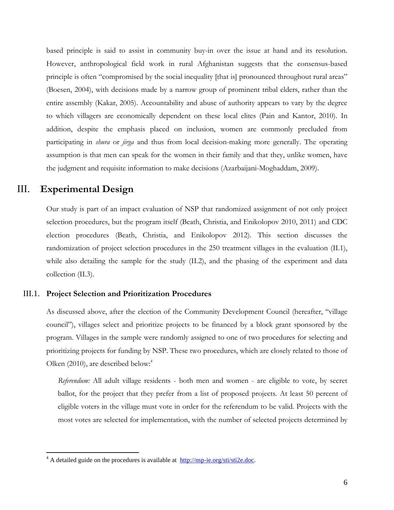based principle is said to assist in community buy-in over the issue at hand and its resolution. However, anthropological field work in rural Afghanistan suggests that the consensus-based principle is often "compromised by the social inequality [that is] pronounced throughout rural areas" (Boesen, 2004), with decisions made by a narrow group of prominent tribal elders, rather than the entire assembly (Kakar, 2005). Accountability and abuse of authority appears to vary by the degree to which villagers are economically dependent on these local elites (Pain and Kantor, 2010). In addition, despite the emphasis placed on inclusion, women are commonly precluded from participating in *shura* or *jirga* and thus from local decision-making more generally. The operating assumption is that men can speak for the women in their family and that they, unlike women, have the judgment and requisite information to make decisions (Azarbaijani-Moghaddam, 2009).

# III. **Experimental Design**

 $\overline{a}$ 

Our study is part of an impact evaluation of NSP that randomized assignment of not only project selection procedures, but the program itself (Beath, Christia, and Enikolopov 2010, 2011) and CDC election procedures (Beath, Christia, and Enikolopov 2012). This section discusses the randomization of project selection procedures in the 250 treatment villages in the evaluation (II.1), while also detailing the sample for the study (II.2), and the phasing of the experiment and data collection (II.3).

#### III.1. **Project Selection and Prioritization Procedures**

As discussed above, after the election of the Community Development Council (hereafter, "village council‖), villages select and prioritize projects to be financed by a block grant sponsored by the program. Villages in the sample were randomly assigned to one of two procedures for selecting and prioritizing projects for funding by NSP. These two procedures, which are closely related to those of Olken (2010), are described below: $4$ 

*Referendum:* All adult village residents - both men and women - are eligible to vote, by secret ballot, for the project that they prefer from a list of proposed projects. At least 50 percent of eligible voters in the village must vote in order for the referendum to be valid. Projects with the most votes are selected for implementation, with the number of selected projects determined by

 $4$  A detailed guide on the procedures is available at  $\frac{http://nsp-ie.org/sti/sti2e.doc.}{http://nsp-ie.org/sti/sti2e.doc.}$  $\frac{http://nsp-ie.org/sti/sti2e.doc.}{http://nsp-ie.org/sti/sti2e.doc.}$  $\frac{http://nsp-ie.org/sti/sti2e.doc.}{http://nsp-ie.org/sti/sti2e.doc.}$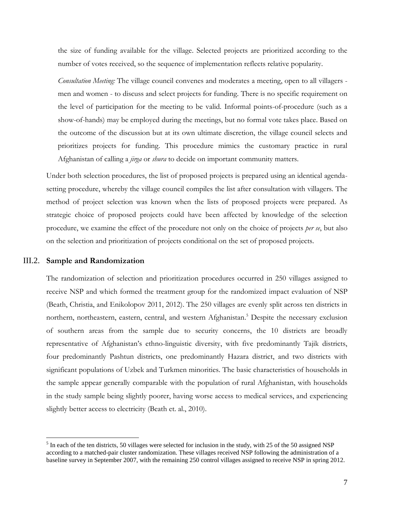the size of funding available for the village. Selected projects are prioritized according to the number of votes received, so the sequence of implementation reflects relative popularity.

*Consultation Meeting:* The village council convenes and moderates a meeting, open to all villagers men and women - to discuss and select projects for funding. There is no specific requirement on the level of participation for the meeting to be valid. Informal points-of-procedure (such as a show-of-hands) may be employed during the meetings, but no formal vote takes place. Based on the outcome of the discussion but at its own ultimate discretion, the village council selects and prioritizes projects for funding. This procedure mimics the customary practice in rural Afghanistan of calling a *jirga* or *shura* to decide on important community matters.

Under both selection procedures, the list of proposed projects is prepared using an identical agendasetting procedure, whereby the village council compiles the list after consultation with villagers. The method of project selection was known when the lists of proposed projects were prepared. As strategic choice of proposed projects could have been affected by knowledge of the selection procedure, we examine the effect of the procedure not only on the choice of projects *per se*, but also on the selection and prioritization of projects conditional on the set of proposed projects.

#### III.2. **Sample and Randomization**

 $\overline{a}$ 

The randomization of selection and prioritization procedures occurred in 250 villages assigned to receive NSP and which formed the treatment group for the randomized impact evaluation of NSP (Beath, Christia, and Enikolopov 2011, 2012). The 250 villages are evenly split across ten districts in northern, northeastern, eastern, central, and western Afghanistan.<sup>5</sup> Despite the necessary exclusion of southern areas from the sample due to security concerns, the 10 districts are broadly representative of Afghanistan's ethno-linguistic diversity, with five predominantly Tajik districts, four predominantly Pashtun districts, one predominantly Hazara district, and two districts with significant populations of Uzbek and Turkmen minorities. The basic characteristics of households in the sample appear generally comparable with the population of rural Afghanistan, with households in the study sample being slightly poorer, having worse access to medical services, and experiencing slightly better access to electricity (Beath et. al., 2010).

 $<sup>5</sup>$  In each of the ten districts, 50 villages were selected for inclusion in the study, with 25 of the 50 assigned NSP</sup> according to a matched-pair cluster randomization. These villages received NSP following the administration of a baseline survey in September 2007, with the remaining 250 control villages assigned to receive NSP in spring 2012.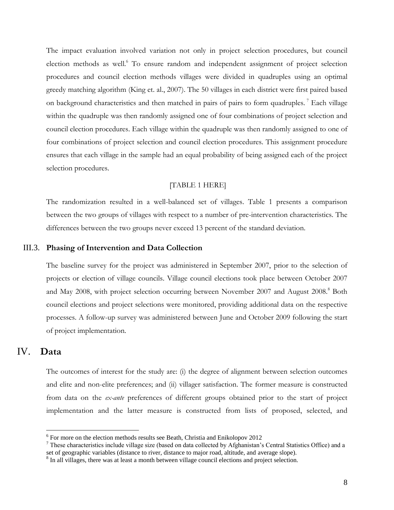The impact evaluation involved variation not only in project selection procedures, but council election methods as well.<sup>6</sup> To ensure random and independent assignment of project selection procedures and council election methods villages were divided in quadruples using an optimal greedy matching algorithm (King et. al., 2007). The 50 villages in each district were first paired based on background characteristics and then matched in pairs of pairs to form quadruples.<sup>7</sup> Each village within the quadruple was then randomly assigned one of four combinations of project selection and council election procedures. Each village within the quadruple was then randomly assigned to one of four combinations of project selection and council election procedures. This assignment procedure ensures that each village in the sample had an equal probability of being assigned each of the project selection procedures.

#### [TABLE 1 HERE]

The randomization resulted in a well-balanced set of villages. Table 1 presents a comparison between the two groups of villages with respect to a number of pre-intervention characteristics. The differences between the two groups never exceed 13 percent of the standard deviation.

#### III.3. **Phasing of Intervention and Data Collection**

The baseline survey for the project was administered in September 2007, prior to the selection of projects or election of village councils. Village council elections took place between October 2007 and May 2008, with project selection occurring between November 2007 and August 2008.<sup>8</sup> Both council elections and project selections were monitored, providing additional data on the respective processes. A follow-up survey was administered between June and October 2009 following the start of project implementation.

# IV. **Data**

 $\overline{a}$ 

The outcomes of interest for the study are: (i) the degree of alignment between selection outcomes and elite and non-elite preferences; and (ii) villager satisfaction. The former measure is constructed from data on the *ex-ante* preferences of different groups obtained prior to the start of project implementation and the latter measure is constructed from lists of proposed, selected, and

<sup>&</sup>lt;sup>6</sup> For more on the election methods results see Beath, Christia and Enikolopov 2012

 $7$  These characteristics include village size (based on data collected by Afghanistan's Central Statistics Office) and a set of geographic variables (distance to river, distance to major road, altitude, and average slope).

<sup>&</sup>lt;sup>8</sup> In all villages, there was at least a month between village council elections and project selection.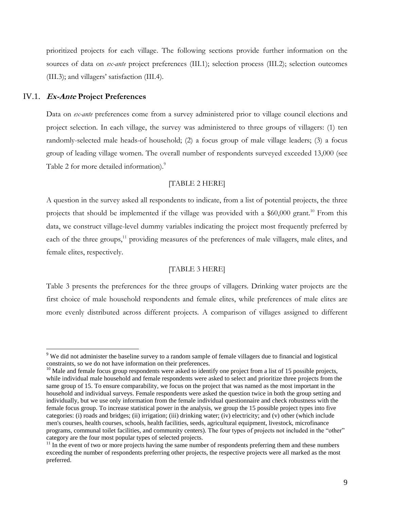prioritized projects for each village. The following sections provide further information on the sources of data on *ex-ante* project preferences (III.1); selection process (III.2); selection outcomes (III.3); and villagers' satisfaction (III.4).

#### IV.1. **Ex-Ante Project Preferences**

 $\overline{a}$ 

Data on *ex-ante* preferences come from a survey administered prior to village council elections and project selection. In each village, the survey was administered to three groups of villagers: (1) ten randomly-selected male heads-of household; (2) a focus group of male village leaders; (3) a focus group of leading village women. The overall number of respondents surveyed exceeded 13,000 (see Table 2 for more detailed information).<sup>9</sup>

#### [TABLE 2 HERE]

A question in the survey asked all respondents to indicate, from a list of potential projects, the three projects that should be implemented if the village was provided with a \$60,000 grant.<sup>10</sup> From this data, we construct village-level dummy variables indicating the project most frequently preferred by each of the three groups,<sup>11</sup> providing measures of the preferences of male villagers, male elites, and female elites, respectively.

#### [TABLE 3 HERE]

Table 3 presents the preferences for the three groups of villagers. Drinking water projects are the first choice of male household respondents and female elites, while preferences of male elites are more evenly distributed across different projects. A comparison of villages assigned to different

<sup>&</sup>lt;sup>9</sup> We did not administer the baseline survey to a random sample of female villagers due to financial and logistical constraints, so we do not have information on their preferences.

 $10$  Male and female focus group respondents were asked to identify one project from a list of 15 possible projects, while individual male household and female respondents were asked to select and prioritize three projects from the same group of 15. To ensure comparability, we focus on the project that was named as the most important in the household and individual surveys. Female respondents were asked the question twice in both the group setting and individually, but we use only information from the female individual questionnaire and check robustness with the female focus group. To increase statistical power in the analysis, we group the 15 possible project types into five categories: (i) roads and bridges; (ii) irrigation; (iii) drinking water; (iv) electricity; and (v) other (which include men's courses, health courses, schools, health facilities, seeds, agricultural equipment, livestock, microfinance programs, communal toilet facilities, and community centers). The four types of projects not included in the "other" category are the four most popular types of selected projects.

 $11$  In the event of two or more projects having the same number of respondents preferring them and these numbers exceeding the number of respondents preferring other projects, the respective projects were all marked as the most preferred.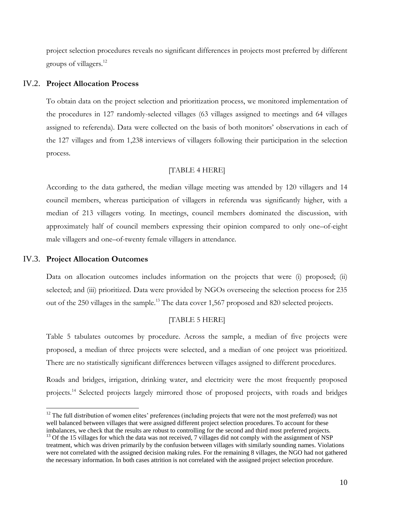project selection procedures reveals no significant differences in projects most preferred by different groups of villagers. 12

#### IV.2. **Project Allocation Process**

To obtain data on the project selection and prioritization process, we monitored implementation of the procedures in 127 randomly-selected villages (63 villages assigned to meetings and 64 villages assigned to referenda). Data were collected on the basis of both monitors' observations in each of the 127 villages and from 1,238 interviews of villagers following their participation in the selection process.

#### [TABLE 4 HERE]

According to the data gathered, the median village meeting was attended by 120 villagers and 14 council members, whereas participation of villagers in referenda was significantly higher, with a median of 213 villagers voting. In meetings, council members dominated the discussion, with approximately half of council members expressing their opinion compared to only one–of-eight male villagers and one–of-twenty female villagers in attendance.

#### IV.3. **Project Allocation Outcomes**

 $\overline{a}$ 

Data on allocation outcomes includes information on the projects that were (i) proposed; (ii) selected; and (iii) prioritized. Data were provided by NGOs overseeing the selection process for 235 out of the 250 villages in the sample.<sup>13</sup> The data cover 1,567 proposed and 820 selected projects.

#### [TABLE 5 HERE]

Table 5 tabulates outcomes by procedure. Across the sample, a median of five projects were proposed, a median of three projects were selected, and a median of one project was prioritized. There are no statistically significant differences between villages assigned to different procedures.

Roads and bridges, irrigation, drinking water, and electricity were the most frequently proposed projects.<sup>14</sup> Selected projects largely mirrored those of proposed projects, with roads and bridges

<sup>&</sup>lt;sup>12</sup> The full distribution of women elites' preferences (including projects that were not the most preferred) was not well balanced between villages that were assigned different project selection procedures. To account for these imbalances, we check that the results are robust to controlling for the second and third most preferred projects.

<sup>&</sup>lt;sup>13</sup> Of the 15 villages for which the data was not received, 7 villages did not comply with the assignment of NSP treatment, which was driven primarily by the confusion between villages with similarly sounding names. Violations were not correlated with the assigned decision making rules. For the remaining 8 villages, the NGO had not gathered the necessary information. In both cases attrition is not correlated with the assigned project selection procedure.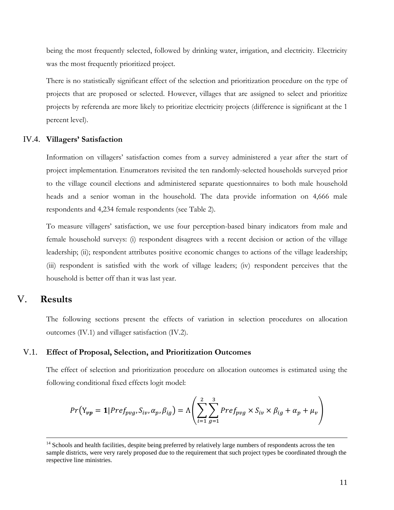being the most frequently selected, followed by drinking water, irrigation, and electricity. Electricity was the most frequently prioritized project.

There is no statistically significant effect of the selection and prioritization procedure on the type of projects that are proposed or selected. However, villages that are assigned to select and prioritize projects by referenda are more likely to prioritize electricity projects (difference is significant at the 1 percent level).

#### IV.4. **Villagers' Satisfaction**

Information on villagers' satisfaction comes from a survey administered a year after the start of project implementation. Enumerators revisited the ten randomly-selected households surveyed prior to the village council elections and administered separate questionnaires to both male household heads and a senior woman in the household. The data provide information on 4,666 male respondents and 4,234 female respondents (see Table 2).

To measure villagers' satisfaction, we use four perception-based binary indicators from male and female household surveys: (i) respondent disagrees with a recent decision or action of the village leadership; (ii); respondent attributes positive economic changes to actions of the village leadership; (iii) respondent is satisfied with the work of village leaders; (iv) respondent perceives that the household is better off than it was last year.

## V. **Results**

 $\overline{a}$ 

The following sections present the effects of variation in selection procedures on allocation outcomes (IV.1) and villager satisfaction (IV.2).

#### V.1. **Effect of Proposal, Selection, and Prioritization Outcomes**

The effect of selection and prioritization procedure on allocation outcomes is estimated using the following conditional fixed effects logit model:

$$
Pr(Y_{vp} = 1 | Pref_{pvg}, S_{iv}, \alpha_p, \beta_{ig}) = \Lambda \left( \sum_{i=1}^{2} \sum_{g=1}^{3} Pref_{pvg} \times S_{iv} \times \beta_{ig} + \alpha_p + \mu_v \right)
$$

<sup>&</sup>lt;sup>14</sup> Schools and health facilities, despite being preferred by relatively large numbers of respondents across the ten sample districts, were very rarely proposed due to the requirement that such project types be coordinated through the respective line ministries.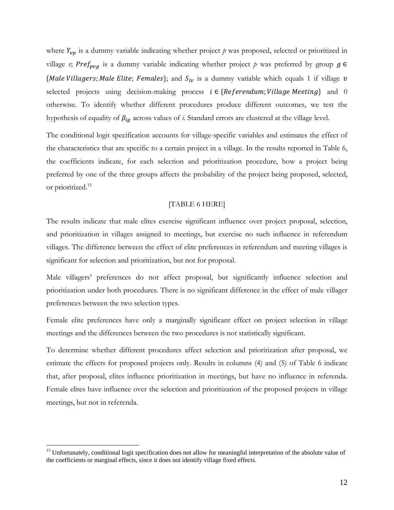where  $Y_{vp}$  is a dummy variable indicating whether project  $p$  was proposed, selected or prioritized in village *v*; Pref<sub>pvg</sub> is a dummy variable indicating whether project p was preferred by group  $g \in$ {Male Villagers; Male Elite; Females}; and  $S_{iv}$  is a dummy variable which equals 1 if village v selected projects using decision-making process  $i \in \{Reference$  Referendum; Village Meeting} and 0 otherwise. To identify whether different procedures produce different outcomes, we test the hypothesis of equality of  $\beta_{ig}$  across values of *i*. Standard errors are clustered at the village level.

The conditional logit specification accounts for village-specific variables and estimates the effect of the characteristics that are specific to a certain project in a village. In the results reported in Table 6, the coefficients indicate, for each selection and prioritization procedure, how a project being preferred by one of the three groups affects the probability of the project being proposed, selected, or prioritized.<sup>15</sup>

#### [TABLE 6 HERE]

The results indicate that male elites exercise significant influence over project proposal, selection, and prioritization in villages assigned to meetings, but exercise no such influence in referendum villages. The difference between the effect of elite preferences in referendum and meeting villages is significant for selection and prioritization, but not for proposal.

Male villagers' preferences do not affect proposal, but significantly influence selection and prioritization under both procedures. There is no significant difference in the effect of male villager preferences between the two selection types.

Female elite preferences have only a marginally significant effect on project selection in village meetings and the differences between the two procedures is not statistically significant.

To determine whether different procedures affect selection and prioritization after proposal, we estimate the effects for proposed projects only. Results in columns (4) and (5) of Table 6 indicate that, after proposal, elites influence prioritization in meetings, but have no influence in referenda. Female elites have influence over the selection and prioritization of the proposed projects in village meetings, but not in referenda.

 $\overline{a}$ 

<sup>&</sup>lt;sup>15</sup> Unfortunately, conditional logit specification does not allow for meaningful interpretation of the absolute value of the coefficients or marginal effects, since it does not identify village fixed effects.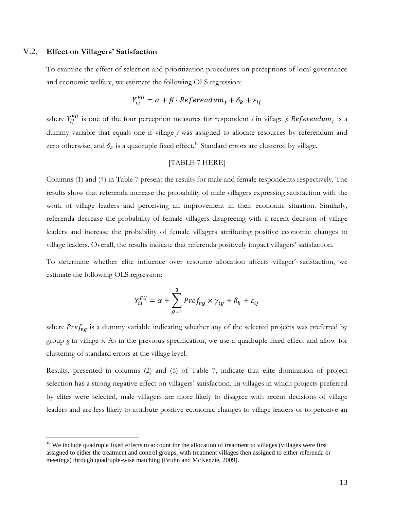#### V.2. **Effect on Villagers' Satisfaction**

 $\overline{a}$ 

To examine the effect of selection and prioritization procedures on perceptions of local governance and economic welfare, we estimate the following OLS regression:

$$
Y_{ij}^{FU} = \alpha + \beta \cdot Referendum_j + \delta_k + \varepsilon_{ij}
$$

where  $Y_{ii}^{FU}$  is one of the four perception measures for respondent *i* in village *j*; Referendum<sub>i</sub> is a dummy variable that equals one if village *j* was assigned to allocate resources by referendum and zero otherwise, and  $\delta_k$  is a quadruple fixed effect.<sup>16</sup> Standard errors are clustered by village.

#### [TABLE 7 HERE]

Columns (1) and (4) in Table 7 present the results for male and female respondents respectively. The results show that referenda increase the probability of male villagers expressing satisfaction with the work of village leaders and perceiving an improvement in their economic situation. Similarly, referenda decrease the probability of female villagers disagreeing with a recent decision of village leaders and increase the probability of female villagers attributing positive economic changes to village leaders. Overall, the results indicate that referenda positively impact villagers' satisfaction.

To determine whether elite influence over resource allocation affects villager' satisfaction, we estimate the following OLS regression:

$$
Y_{ij}^{FU} = \alpha + \sum_{g=1}^{3} Pref_{vg} \times \gamma_{ig} + \delta_k + \varepsilon_{ij}
$$

where  $Pref<sub>va</sub>$  is a dummy variable indicating whether any of the selected projects was preferred by group *g* in village *v*. As in the previous specification, we use a quadruple fixed effect and allow for clustering of standard errors at the village level.

Results, presented in columns (2) and (5) of Table 7, indicate that elite domination of project selection has a strong negative effect on villagers' satisfaction. In villages in which projects preferred by elites were selected, male villagers are more likely to disagree with recent decisions of village leaders and are less likely to attribute positive economic changes to village leaders or to perceive an

<sup>&</sup>lt;sup>16</sup> We include quadruple fixed effects to account for the allocation of treatment to villages (villages were first assigned to either the treatment and control groups, with treatment villages then assigned to either referenda or meetings) through quadruple-wise matching (Bruhn and McKenzie, 2009).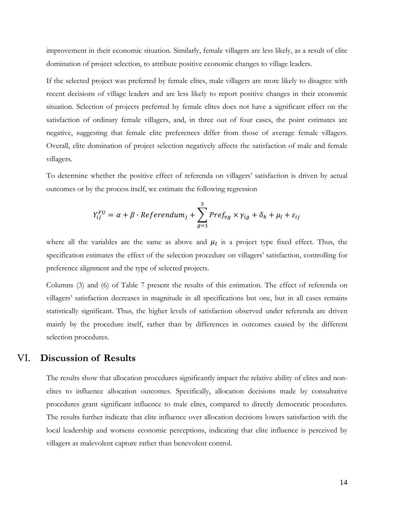improvement in their economic situation. Similarly, female villagers are less likely, as a result of elite domination of project selection, to attribute positive economic changes to village leaders.

If the selected project was preferred by female elites, male villagers are more likely to disagree with recent decisions of village leaders and are less likely to report positive changes in their economic situation. Selection of projects preferred by female elites does not have a significant effect on the satisfaction of ordinary female villagers, and, in three out of four cases, the point estimates are negative, suggesting that female elite preferences differ from those of average female villagers. Overall, elite domination of project selection negatively affects the satisfaction of male and female villagers.

To determine whether the positive effect of referenda on villagers' satisfaction is driven by actual outcomes or by the process itself, we estimate the following regression

$$
Y_{ij}^{FU} = \alpha + \beta \cdot Referendum_j + \sum_{g=1}^{3} Pref_{vg} \times \gamma_{ig} + \delta_k + \mu_l + \varepsilon_{ij}
$$

where all the variables are the same as above and  $\mu_l$  is a project type fixed effect. Thus, the specification estimates the effect of the selection procedure on villagers' satisfaction, controlling for preference alignment and the type of selected projects.

Columns (3) and (6) of Table 7 present the results of this estimation. The effect of referenda on villagers' satisfaction decreases in magnitude in all specifications but one, but in all cases remains statistically significant. Thus, the higher levels of satisfaction observed under referenda are driven mainly by the procedure itself, rather than by differences in outcomes caused by the different selection procedures.

# VI. **Discussion of Results**

The results show that allocation procedures significantly impact the relative ability of elites and nonelites to influence allocation outcomes. Specifically, allocation decisions made by consultative procedures grant significant influence to male elites, compared to directly democratic procedures. The results further indicate that elite influence over allocation decisions lowers satisfaction with the local leadership and worsens economic perceptions, indicating that elite influence is perceived by villagers as malevolent capture rather than benevolent control.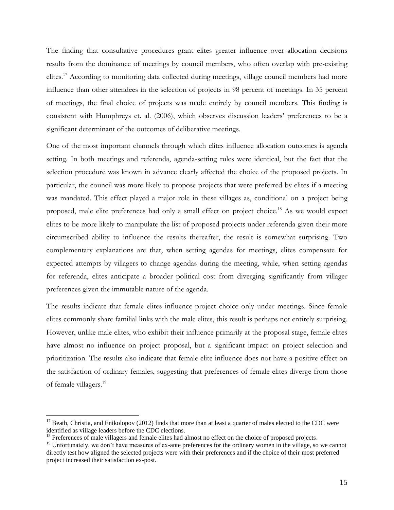The finding that consultative procedures grant elites greater influence over allocation decisions results from the dominance of meetings by council members, who often overlap with pre-existing elites.<sup>17</sup> According to monitoring data collected during meetings, village council members had more influence than other attendees in the selection of projects in 98 percent of meetings. In 35 percent of meetings, the final choice of projects was made entirely by council members. This finding is consistent with Humphreys et. al. (2006), which observes discussion leaders' preferences to be a significant determinant of the outcomes of deliberative meetings.

One of the most important channels through which elites influence allocation outcomes is agenda setting. In both meetings and referenda, agenda-setting rules were identical, but the fact that the selection procedure was known in advance clearly affected the choice of the proposed projects. In particular, the council was more likely to propose projects that were preferred by elites if a meeting was mandated. This effect played a major role in these villages as, conditional on a project being proposed, male elite preferences had only a small effect on project choice.<sup>18</sup> As we would expect elites to be more likely to manipulate the list of proposed projects under referenda given their more circumscribed ability to influence the results thereafter, the result is somewhat surprising. Two complementary explanations are that, when setting agendas for meetings, elites compensate for expected attempts by villagers to change agendas during the meeting, while, when setting agendas for referenda, elites anticipate a broader political cost from diverging significantly from villager preferences given the immutable nature of the agenda.

The results indicate that female elites influence project choice only under meetings. Since female elites commonly share familial links with the male elites, this result is perhaps not entirely surprising. However, unlike male elites, who exhibit their influence primarily at the proposal stage, female elites have almost no influence on project proposal, but a significant impact on project selection and prioritization. The results also indicate that female elite influence does not have a positive effect on the satisfaction of ordinary females, suggesting that preferences of female elites diverge from those of female villagers.<sup>19</sup>

 $\overline{a}$ 

 $17$  Beath, Christia, and Enikolopov (2012) finds that more than at least a quarter of males elected to the CDC were identified as village leaders before the CDC elections.

<sup>&</sup>lt;sup>18</sup> Preferences of male villagers and female elites had almost no effect on the choice of proposed projects.

<sup>&</sup>lt;sup>19</sup> Unfortunately, we don't have measures of ex-ante preferences for the ordinary women in the village, so we cannot directly test how aligned the selected projects were with their preferences and if the choice of their most preferred project increased their satisfaction ex-post.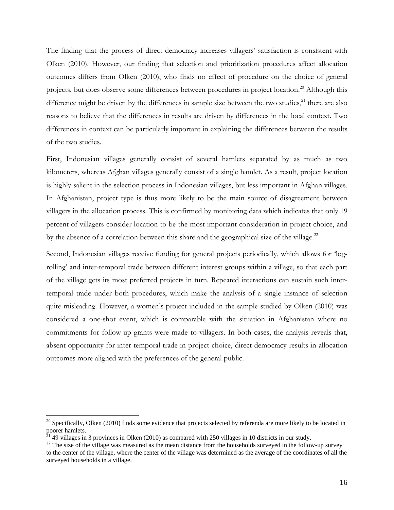The finding that the process of direct democracy increases villagers' satisfaction is consistent with Olken (2010). However, our finding that selection and prioritization procedures affect allocation outcomes differs from Olken (2010), who finds no effect of procedure on the choice of general projects, but does observe some differences between procedures in project location.<sup>20</sup> Although this difference might be driven by the differences in sample size between the two studies, $^{21}$  there are also reasons to believe that the differences in results are driven by differences in the local context. Two differences in context can be particularly important in explaining the differences between the results of the two studies.

First, Indonesian villages generally consist of several hamlets separated by as much as two kilometers, whereas Afghan villages generally consist of a single hamlet. As a result, project location is highly salient in the selection process in Indonesian villages, but less important in Afghan villages. In Afghanistan, project type is thus more likely to be the main source of disagreement between villagers in the allocation process. This is confirmed by monitoring data which indicates that only 19 percent of villagers consider location to be the most important consideration in project choice, and by the absence of a correlation between this share and the geographical size of the village. $^{22}$ 

Second, Indonesian villages receive funding for general projects periodically, which allows for *'log*rolling' and inter-temporal trade between different interest groups within a village, so that each part of the village gets its most preferred projects in turn. Repeated interactions can sustain such intertemporal trade under both procedures, which make the analysis of a single instance of selection quite misleading. However, a women's project included in the sample studied by Olken (2010) was considered a one-shot event, which is comparable with the situation in Afghanistan where no commitments for follow-up grants were made to villagers. In both cases, the analysis reveals that, absent opportunity for inter-temporal trade in project choice, direct democracy results in allocation outcomes more aligned with the preferences of the general public.

 $\overline{a}$ 

<sup>&</sup>lt;sup>20</sup> Specifically, Olken (2010) finds some evidence that projects selected by referenda are more likely to be located in poorer hamlets.

 $^{21}$  49 villages in 3 provinces in Olken (2010) as compared with 250 villages in 10 districts in our study.

 $^{22}$  The size of the village was measured as the mean distance from the households surveyed in the follow-up survey to the center of the village, where the center of the village was determined as the average of the coordinates of all the surveyed households in a village.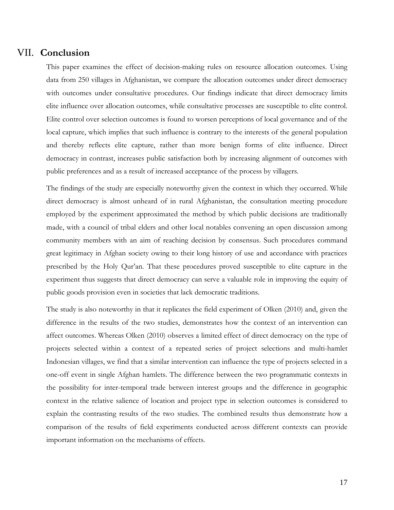## VII. **Conclusion**

This paper examines the effect of decision-making rules on resource allocation outcomes. Using data from 250 villages in Afghanistan, we compare the allocation outcomes under direct democracy with outcomes under consultative procedures. Our findings indicate that direct democracy limits elite influence over allocation outcomes, while consultative processes are susceptible to elite control. Elite control over selection outcomes is found to worsen perceptions of local governance and of the local capture, which implies that such influence is contrary to the interests of the general population and thereby reflects elite capture, rather than more benign forms of elite influence. Direct democracy in contrast, increases public satisfaction both by increasing alignment of outcomes with public preferences and as a result of increased acceptance of the process by villagers.

The findings of the study are especially noteworthy given the context in which they occurred. While direct democracy is almost unheard of in rural Afghanistan, the consultation meeting procedure employed by the experiment approximated the method by which public decisions are traditionally made, with a council of tribal elders and other local notables convening an open discussion among community members with an aim of reaching decision by consensus. Such procedures command great legitimacy in Afghan society owing to their long history of use and accordance with practices prescribed by the Holy Qur'an. That these procedures proved susceptible to elite capture in the experiment thus suggests that direct democracy can serve a valuable role in improving the equity of public goods provision even in societies that lack democratic traditions.

The study is also noteworthy in that it replicates the field experiment of Olken (2010) and, given the difference in the results of the two studies, demonstrates how the context of an intervention can affect outcomes. Whereas Olken (2010) observes a limited effect of direct democracy on the type of projects selected within a context of a repeated series of project selections and multi-hamlet Indonesian villages, we find that a similar intervention can influence the type of projects selected in a one-off event in single Afghan hamlets. The difference between the two programmatic contexts in the possibility for inter-temporal trade between interest groups and the difference in geographic context in the relative salience of location and project type in selection outcomes is considered to explain the contrasting results of the two studies. The combined results thus demonstrate how a comparison of the results of field experiments conducted across different contexts can provide important information on the mechanisms of effects.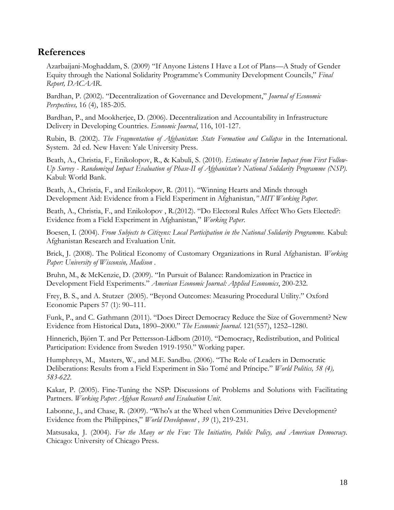# **References**

Azarbaijani-Moghaddam, S. (2009) "If Anyone Listens I Have a Lot of Plans—A Study of Gender Equity through the National Solidarity Programme's Community Development Councils," *Final Report, DACAAR*.

Bardhan, P. (2002). "Decentralization of Governance and Development," *Journal of Economic Perspectives,* 16 (4), 185-205.

Bardhan, P., and Mookherjee, D. (2006). Decentralization and Accountability in Infrastructure Delivery in Developing Countries. *Economic Journal*, 116, 101-127.

Rubin, B. (2002). *The Fragmentation of Afghanistan*: *State Formation and Collapse* in the International. System. 2d ed. New Haven: Yale University Press.

Beath, A., Christia, F., Enikolopov, R., & Kabuli, S. (2010). *Estimates of Interim Impact from First Follow-Up Survey - Randomized Impact Evaluation of Phase-II of Afghanistan's National Solidarity Programme (NSP).* Kabul: World Bank.

Beath, A., Christia, F., and Enikolopov, R. (2011). "Winning Hearts and Minds through Development Aid: Evidence from a Field Experiment in Afghanistan*," MIT Working Paper*.

Beath, A., Christia, F., and Enikolopov, R.(2012). "Do Electoral Rules Affect Who Gets Elected?: Evidence from a Field Experiment in Afghanistan,‖ *Working Paper*.

Boesen, I. (2004). *From Subjects to Citizens: Local Participation in the National Solidarity Programme.* Kabul: Afghanistan Research and Evaluation Unit.

Brick, J. (2008). The Political Economy of Customary Organizations in Rural Afghanistan. *Working Paper: University of Wisconsin, Madison* .

Bruhn, M., & McKenzie, D. (2009). "In Pursuit of Balance: Randomization in Practice in Development Field Experiments.‖ *American Economic Journal: Applied Economics*, 200-232.

Frey, B. S., and A. Stutzer (2005). "Beyond Outcomes: Measuring Procedural Utility." Oxford Economic Papers 57 (1): 90–111.

Funk, P., and C. Gathmann (2011). "Does Direct Democracy Reduce the Size of Government? New Evidence from Historical Data, 1890–2000.‖ *The Economic Journal*. 121(557), 1252–1280.

Hinnerich, Björn T. and Per Pettersson-Lidbom (2010). "Democracy, Redistribution, and Political Participation: Evidence from Sweden 1919-1950." Working paper.

Humphreys, M., Masters, W., and M.E. Sandbu. (2006). "The Role of Leaders in Democratic Deliberations: Results from a Field Experiment in São Tomé and Príncipe." *World Politics, 58 (4)*, *583-622.*

Kakar, P. (2005). Fine-Tuning the NSP: Discussions of Problems and Solutions with Facilitating Partners. *Working Paper: Afghan Research and Evaluation Unit*.

Labonne, J., and Chase, R. (2009). "Who's at the Wheel when Communities Drive Development? Evidence from the Philippines," *World Development , 39* (1), 219-231.

Matsusaka, J. (2004). *For the Many or the Few: The Initiative, Public Policy, and American Democracy.* Chicago: University of Chicago Press.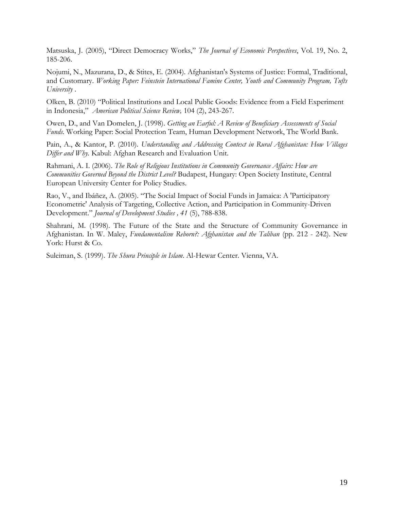Matsuska, J. (2005), "Direct Democracy Works," The Journal of Economic Perspectives, Vol. 19, No. 2, 185-206.

Nojumi, N., Mazurana, D., & Stites, E. (2004). Afghanistan's Systems of Justice: Formal, Traditional, and Customary. *Working Paper: Feinstein International Famine Center, Youth and Community Program, Tufts University* .

Olken, B. (2010) "Political Institutions and Local Public Goods: Evidence from a Field Experiment in Indonesia," *American Political Science Review*, 104 (2), 243-267.

Owen, D., and Van Domelen, J. (1998). *Getting an Earful: A Review of Beneficiary Assessments of Social Funds.* Working Paper: Social Protection Team, Human Development Network, The World Bank.

Pain, A., & Kantor, P. (2010). *Understanding and Addressing Context in Rural Afghanistan: How Villages Differ and Why.* Kabul: Afghan Research and Evaluation Unit.

Rahmani, A. I. (2006). *The Role of Religious Institutions in Community Governance Affairs: How are Communities Governed Beyond the District Level?* Budapest, Hungary: Open Society Institute, Central European University Center for Policy Studies.

Rao, V., and Ibáñez, A. (2005). "The Social Impact of Social Funds in Jamaica: A 'Participatory Econometric' Analysis of Targeting, Collective Action, and Participation in Community-Driven Development.‖ *Journal of Development Studies , 41* (5), 788-838.

Shahrani, M. (1998). The Future of the State and the Structure of Community Governance in Afghanistan. In W. Maley, *Fundamentalism Reborn?: Afghanistan and the Taliban* (pp. 212 - 242). New York: Hurst & Co.

Suleiman, S. (1999). *The Shura Principle in Islam*. Al-Hewar Center. Vienna, VA.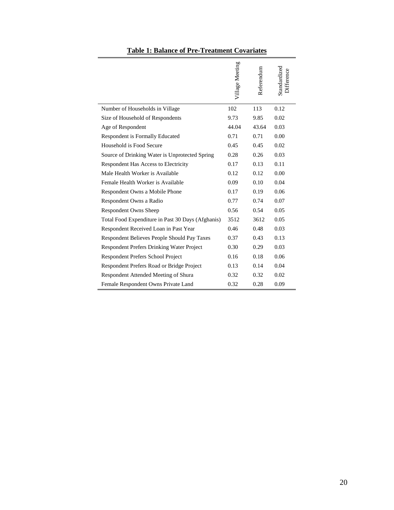|  |  | <b>Table 1: Balance of Pre-Treatment Covariates</b> |  |
|--|--|-----------------------------------------------------|--|
|  |  |                                                     |  |

|                                                   | Village Meeting | Referendum | Standardized<br>Difference |
|---------------------------------------------------|-----------------|------------|----------------------------|
| Number of Households in Village                   | 102             | 113        | 0.12                       |
| Size of Household of Respondents                  | 9.73            | 9.85       | 0.02                       |
| Age of Respondent                                 | 44.04           | 43.64      | 0.03                       |
| Respondent is Formally Educated                   | 0.71            | 0.71       | 0.00                       |
| Household is Food Secure                          | 0.45            | 0.45       | 0.02                       |
| Source of Drinking Water is Unprotected Spring    | 0.28            | 0.26       | 0.03                       |
| Respondent Has Access to Electricity              | 0.17            | 0.13       | 0.11                       |
| Male Health Worker is Available                   | 0.12            | 0.12       | 0.00                       |
| Female Health Worker is Available                 | 0.09            | 0.10       | 0.04                       |
| Respondent Owns a Mobile Phone                    | 0.17            | 0.19       | 0.06                       |
| Respondent Owns a Radio                           | 0.77            | 0.74       | 0.07                       |
| <b>Respondent Owns Sheep</b>                      | 0.56            | 0.54       | 0.05                       |
| Total Food Expenditure in Past 30 Days (Afghanis) | 3512            | 3612       | 0.05                       |
| Respondent Received Loan in Past Year             | 0.46            | 0.48       | 0.03                       |
| Respondent Believes People Should Pay Taxes       | 0.37            | 0.43       | 0.13                       |
| <b>Respondent Prefers Drinking Water Project</b>  | 0.30            | 0.29       | 0.03                       |
| Respondent Prefers School Project                 | 0.16            | 0.18       | 0.06                       |
| Respondent Prefers Road or Bridge Project         | 0.13            | 0.14       | 0.04                       |
| Respondent Attended Meeting of Shura              | 0.32            | 0.32       | 0.02                       |
| Female Respondent Owns Private Land               | 0.32            | 0.28       | 0.09                       |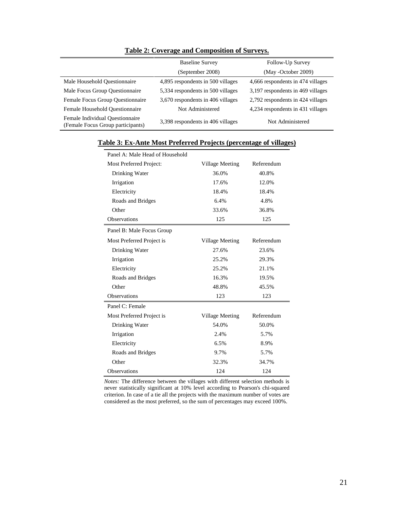|                                                                      | <b>Baseline Survey</b>            | Follow-Up Survey<br>(May -October 2009) |  |  |
|----------------------------------------------------------------------|-----------------------------------|-----------------------------------------|--|--|
|                                                                      | (September 2008)                  |                                         |  |  |
| Male Household Questionnaire                                         | 4,895 respondents in 500 villages | 4,666 respondents in 474 villages       |  |  |
| Male Focus Group Questionnaire                                       | 5,334 respondents in 500 villages | 3,197 respondents in 469 villages       |  |  |
| Female Focus Group Questionnaire                                     | 3,670 respondents in 406 villages | 2,792 respondents in 424 villages       |  |  |
| Female Household Ouestionnaire                                       | Not Administered                  | 4,234 respondents in 431 villages       |  |  |
| Female Individual Ouestionnaire<br>(Female Focus Group participants) | 3,398 respondents in 406 villages | Not Administered                        |  |  |

#### **Table 2: Coverage and Composition of Surveys.**

| Panel A: Male Head of Household |                 |            |  |  |  |  |
|---------------------------------|-----------------|------------|--|--|--|--|
| Most Preferred Project:         | Village Meeting | Referendum |  |  |  |  |
| Drinking Water                  | 36.0%           | 40.8%      |  |  |  |  |
| Irrigation                      | 17.6%           | 12.0%      |  |  |  |  |
| Electricity                     | 18.4%           | 18.4%      |  |  |  |  |
| Roads and Bridges               | 6.4%            | 4.8%       |  |  |  |  |
| Other                           | 33.6%           | 36.8%      |  |  |  |  |
| <b>Observations</b>             | 125             | 125        |  |  |  |  |
| Panel B: Male Focus Group       |                 |            |  |  |  |  |
| Most Preferred Project is       | Village Meeting | Referendum |  |  |  |  |
| Drinking Water                  | 27.6%           | 23.6%      |  |  |  |  |
| Irrigation                      | 25.2%           | 29.3%      |  |  |  |  |
| Electricity                     | 25.2%           | 21.1%      |  |  |  |  |
| Roads and Bridges               | 16.3%           | 19.5%      |  |  |  |  |
| Other                           | 48.8%           | 45.5%      |  |  |  |  |
| Observations                    | 123             | 123        |  |  |  |  |
| Panel C: Female                 |                 |            |  |  |  |  |
| Most Preferred Project is       | Village Meeting | Referendum |  |  |  |  |
| Drinking Water                  | 54.0%           | 50.0%      |  |  |  |  |
| Irrigation                      | 2.4%            | 5.7%       |  |  |  |  |
| Electricity                     | 6.5%            | 8.9%       |  |  |  |  |
| Roads and Bridges               | 9.7%            | 5.7%       |  |  |  |  |
| Other                           | 32.3%           | 34.7%      |  |  |  |  |
| <b>Observations</b>             | 124             | 124        |  |  |  |  |

### **Table 3: Ex-Ante Most Preferred Projects (percentage of villages)**

*Notes:* The difference between the villages with different selection methods is never statistically significant at 10% level according to Pearson's chi-squared criterion. In case of a tie all the projects with the maximum number of votes are considered as the most preferred, so the sum of percentages may exceed 100%.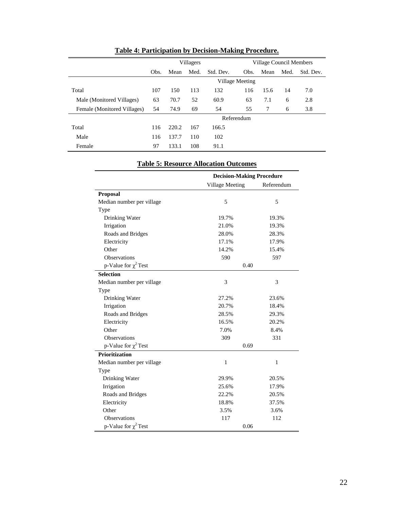|                             | Villagers       |       |      |           |            | <b>Village Council Members</b> |      |           |  |
|-----------------------------|-----------------|-------|------|-----------|------------|--------------------------------|------|-----------|--|
|                             | Obs.            | Mean  | Med. | Std. Dev. | Obs.       | Mean                           | Med. | Std. Dev. |  |
|                             | Village Meeting |       |      |           |            |                                |      |           |  |
| Total                       | 107             | 150   | 113  | 132       | 116        | 15.6                           | 14   | 7.0       |  |
| Male (Monitored Villages)   | 63              | 70.7  | 52   | 60.9      | 63         | 7.1                            | 6    | 2.8       |  |
| Female (Monitored Villages) | 54              | 74.9  | 69   | 54        | 55         | 7                              | 6    | 3.8       |  |
|                             |                 |       |      |           | Referendum |                                |      |           |  |
| Total                       | 116             | 220.2 | 167  | 166.5     |            |                                |      |           |  |
| Male                        | 116             | 137.7 | 110  | 102       |            |                                |      |           |  |
| Female                      | 97              | 133.1 | 108  | 91.1      |            |                                |      |           |  |

# **Table 4: Participation by Decision-Making Procedure.**

|                           |                 | <b>Decision-Making Procedure</b> |  |  |
|---------------------------|-----------------|----------------------------------|--|--|
|                           | Village Meeting | Referendum                       |  |  |
| Proposal                  |                 |                                  |  |  |
| Median number per village | 5               | 5                                |  |  |
| Type                      |                 |                                  |  |  |
| Drinking Water            | 19.7%           | 19.3%                            |  |  |
| Irrigation                | 21.0%           | 19.3%                            |  |  |
| Roads and Bridges         | 28.0%           | 28.3%                            |  |  |
| Electricity               | 17.1%           | 17.9%                            |  |  |
| Other                     | 14.2%           | 15.4%                            |  |  |
| Observations              | 590             | 597                              |  |  |
| p-Value for $\chi^2$ Test | 0.40            |                                  |  |  |
| <b>Selection</b>          |                 |                                  |  |  |
| Median number per village | 3               | 3                                |  |  |
| Type                      |                 |                                  |  |  |
| Drinking Water            | 27.2%           | 23.6%<br>18.4%                   |  |  |
| Irrigation                | 20.7%           |                                  |  |  |
| Roads and Bridges         | 28.5%           | 29.3%                            |  |  |
| Electricity               | 16.5%           | 20.2%                            |  |  |
| Other                     | 7.0%            | 8.4%                             |  |  |
| Observations              | 309             | 331                              |  |  |
| p-Value for $\chi^2$ Test | 0.69            |                                  |  |  |
| Prioritization            |                 |                                  |  |  |
| Median number per village | 1               | 1                                |  |  |
| Type                      |                 |                                  |  |  |
| Drinking Water            | 29.9%           | 20.5%                            |  |  |
| Irrigation                | 25.6%           | 17.9%                            |  |  |
| Roads and Bridges         | 22.2%           | 20.5%                            |  |  |
| Electricity               | 18.8%           | 37.5%                            |  |  |
| Other                     | 3.5%            | 3.6%                             |  |  |
| Observations              | 117             | 112                              |  |  |
| p-Value for $\chi^2$ Test | 0.06            |                                  |  |  |

#### **Table 5: Resource Allocation Outcomes**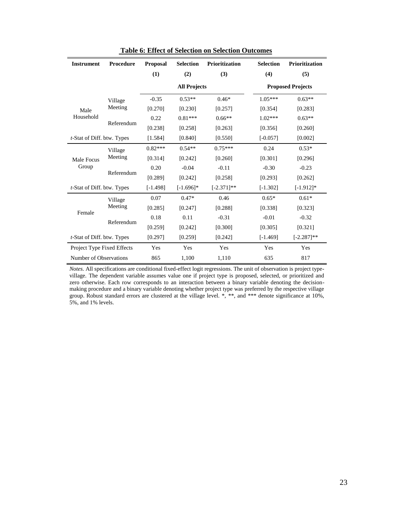| <b>Instrument</b>                  | Procedure  |            | <b>Selection</b>    | Prioritization | <b>Selection</b>         | <b>Prioritization</b> |  |
|------------------------------------|------------|------------|---------------------|----------------|--------------------------|-----------------------|--|
|                                    |            | (1)        | (2)                 | (3)            | (4)                      | (5)                   |  |
|                                    |            |            | <b>All Projects</b> |                | <b>Proposed Projects</b> |                       |  |
|                                    | Village    | $-0.35$    | $0.53**$            | $0.46*$        | $1.05***$                | $0.63**$              |  |
| Male                               | Meeting    | [0.270]    | [0.230]             | [0.257]        | [0.354]                  | [0.283]               |  |
| Household                          | Referendum | 0.22       | $0.81***$           | $0.66**$       | $1.02***$                | $0.63**$              |  |
|                                    |            | [0.238]    | [0.258]             | [0.263]        | [0.356]                  | [0.260]               |  |
| <i>t</i> -Stat of Diff. btw. Types |            | [1.584]    | [0.840]             | [0.550]        | $[-0.057]$               | [0.002]               |  |
|                                    | Village    | $0.82***$  | $0.54**$            | $0.75***$      | 0.24                     | $0.53*$               |  |
| Male Focus                         | Meeting    | [0.314]    | [0.242]             | [0.260]        | [0.301]                  | [0.296]               |  |
| Group                              | Referendum | 0.20       | $-0.04$             | $-0.11$        | $-0.30$                  | $-0.23$               |  |
|                                    |            | [0.289]    | [0.242]             | [0.258]        | [0.293]                  | [0.262]               |  |
| <i>t</i> -Stat of Diff. btw. Types |            | $[-1.498]$ | $[-1.696]$ *        | $[-2.371]$ **  | $[-1.302]$               | $[-1.912]*$           |  |
|                                    | Village    | 0.07       | $0.47*$             | 0.46           | $0.65*$                  | $0.61*$               |  |
| Female                             | Meeting    | [0.285]    | [0.247]             | [0.288]        | [0.338]                  | [0.323]               |  |
|                                    | Referendum | 0.18       | 0.11                | $-0.31$        | $-0.01$                  | $-0.32$               |  |
|                                    |            | [0.259]    | [0.242]             | [0.300]        | [0.305]                  | [0.321]               |  |
| <i>t</i> -Stat of Diff. btw. Types |            | [0.297]    | [0.259]             | [0.242]        | $[-1.469]$               | $[-2.287]$ **         |  |
| Project Type Fixed Effects         |            | Yes        | Yes                 | Yes            | Yes                      | Yes                   |  |
| Number of Observations             |            | 865        | 1,100               | 1,110          | 635                      | 817                   |  |

**Table 6: Effect of Selection on Selection Outcomes**

*Notes*. All specifications are conditional fixed-effect logit regressions. The unit of observation is project typevillage. The dependent variable assumes value one if project type is proposed, selected, or prioritized and zero otherwise. Each row corresponds to an interaction between a binary variable denoting the decisionmaking procedure and a binary variable denoting whether project type was preferred by the respective village group. Robust standard errors are clustered at the village level. \*, \*\*, and \*\*\* denote significance at 10%, 5%, and 1% levels.